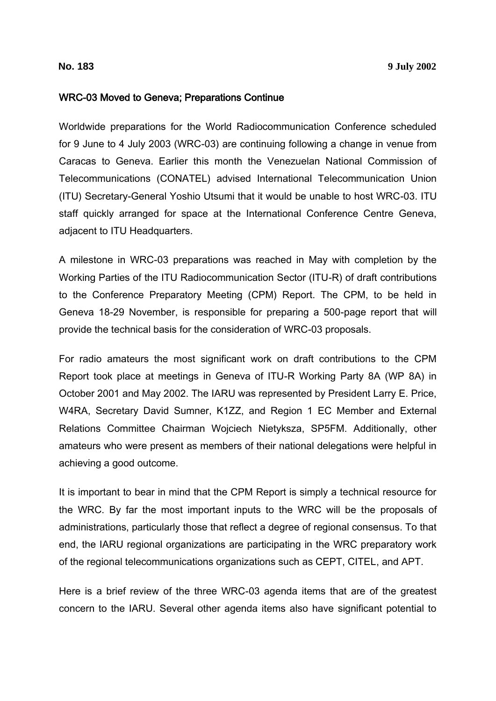#### WRC-03 Moved to Geneva; Preparations Continue

Worldwide preparations for the World Radiocommunication Conference scheduled for 9 June to 4 July 2003 (WRC-03) are continuing following a change in venue from Caracas to Geneva. Earlier this month the Venezuelan National Commission of Telecommunications (CONATEL) advised International Telecommunication Union (ITU) Secretary-General Yoshio Utsumi that it would be unable to host WRC-03. ITU staff quickly arranged for space at the International Conference Centre Geneva, adjacent to ITU Headquarters.

A milestone in WRC-03 preparations was reached in May with completion by the Working Parties of the ITU Radiocommunication Sector (ITU-R) of draft contributions to the Conference Preparatory Meeting (CPM) Report. The CPM, to be held in Geneva 18-29 November, is responsible for preparing a 500-page report that will provide the technical basis for the consideration of WRC-03 proposals.

For radio amateurs the most significant work on draft contributions to the CPM Report took place at meetings in Geneva of ITU-R Working Party 8A (WP 8A) in October 2001 and May 2002. The IARU was represented by President Larry E. Price, W4RA, Secretary David Sumner, K1ZZ, and Region 1 EC Member and External Relations Committee Chairman Wojciech Nietyksza, SP5FM. Additionally, other amateurs who were present as members of their national delegations were helpful in achieving a good outcome.

It is important to bear in mind that the CPM Report is simply a technical resource for the WRC. By far the most important inputs to the WRC will be the proposals of administrations, particularly those that reflect a degree of regional consensus. To that end, the IARU regional organizations are participating in the WRC preparatory work of the regional telecommunications organizations such as CEPT, CITEL, and APT.

Here is a brief review of the three WRC-03 agenda items that are of the greatest concern to the IARU. Several other agenda items also have significant potential to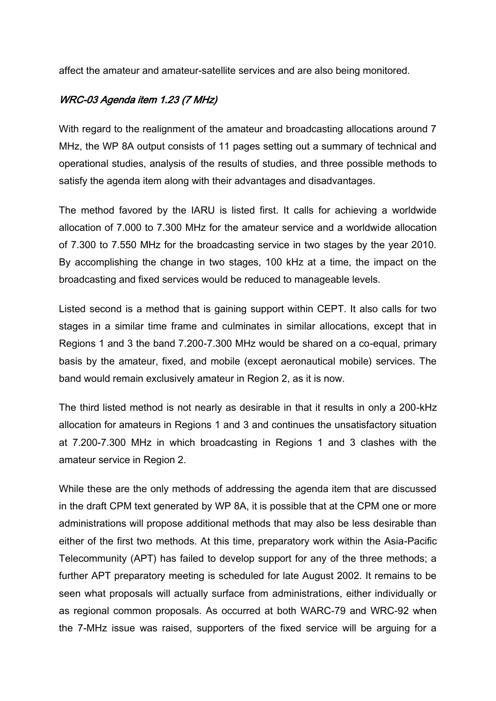affect the amateur and amateur-satellite services and are also being monitored.

## WRC-03 Agenda item 1.23 (7 MHz)

With regard to the realignment of the amateur and broadcasting allocations around 7 MHz, the WP 8A output consists of 11 pages setting out a summary of technical and operational studies, analysis of the results of studies, and three possible methods to satisfy the agenda item along with their advantages and disadvantages.

The method favored by the IARU is listed first. It calls for achieving a worldwide allocation of 7.000 to 7.300 MHz for the amateur service and a worldwide allocation of 7.300 to 7.550 MHz for the broadcasting service in two stages by the year 2010. By accomplishing the change in two stages, 100 kHz at a time, the impact on the broadcasting and fixed services would be reduced to manageable levels.

Listed second is a method that is gaining support within CEPT. It also calls for two stages in a similar time frame and culminates in similar allocations, except that in Regions 1 and 3 the band 7.200-7.300 MHz would be shared on a co-equal, primary basis by the amateur, fixed, and mobile (except aeronautical mobile) services. The band would remain exclusively amateur in Region 2, as it is now.

The third listed method is not nearly as desirable in that it results in only a 200-kHz allocation for amateurs in Regions 1 and 3 and continues the unsatisfactory situation at 7.200-7.300 MHz in which broadcasting in Regions 1 and 3 clashes with the amateur service in Region 2.

While these are the only methods of addressing the agenda item that are discussed in the draft CPM text generated by WP 8A, it is possible that at the CPM one or more administrations will propose additional methods that may also be less desirable than either of the first two methods. At this time, preparatory work within the Asia-Pacific Telecommunity (APT) has failed to develop support for any of the three methods; a further APT preparatory meeting is scheduled for late August 2002. It remains to be seen what proposals will actually surface from administrations, either individually or as regional common proposals. As occurred at both WARC-79 and WRC-92 when the 7-MHz issue was raised, supporters of the fixed service will be arguing for a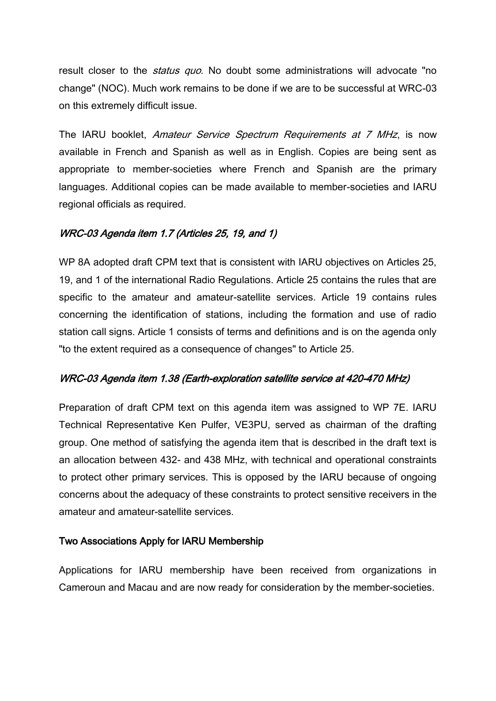result closer to the *status quo*. No doubt some administrations will advocate "no change" (NOC). Much work remains to be done if we are to be successful at WRC-03 on this extremely difficult issue.

The IARU booklet, Amateur Service Spectrum Requirements at 7 MHz, is now available in French and Spanish as well as in English. Copies are being sent as appropriate to member-societies where French and Spanish are the primary languages. Additional copies can be made available to member-societies and IARU regional officials as required.

# WRC-03 Agenda item 1.7 (Articles 25, 19, and 1)

WP 8A adopted draft CPM text that is consistent with IARU objectives on Articles 25, 19, and 1 of the international Radio Regulations. Article 25 contains the rules that are specific to the amateur and amateur-satellite services. Article 19 contains rules concerning the identification of stations, including the formation and use of radio station call signs. Article 1 consists of terms and definitions and is on the agenda only "to the extent required as a consequence of changes" to Article 25.

# WRC-03 Agenda item 1.38 (Earth-exploration satellite service at 420-470 MHz)

Preparation of draft CPM text on this agenda item was assigned to WP 7E. IARU Technical Representative Ken Pulfer, VE3PU, served as chairman of the drafting group. One method of satisfying the agenda item that is described in the draft text is an allocation between 432- and 438 MHz, with technical and operational constraints to protect other primary services. This is opposed by the IARU because of ongoing concerns about the adequacy of these constraints to protect sensitive receivers in the amateur and amateur-satellite services.

# Two Associations Apply for IARU Membership

Applications for IARU membership have been received from organizations in Cameroun and Macau and are now ready for consideration by the member-societies.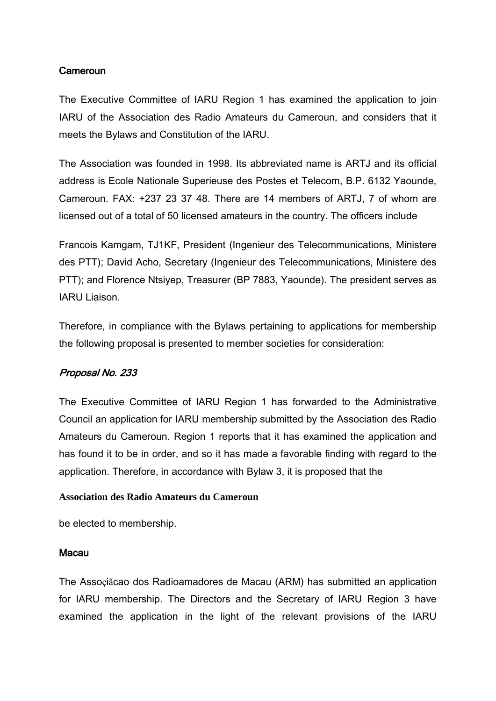### **Cameroun**

The Executive Committee of IARU Region 1 has examined the application to join IARU of the Association des Radio Amateurs du Cameroun, and considers that it meets the Bylaws and Constitution of the IARU.

The Association was founded in 1998. Its abbreviated name is ARTJ and its official address is Ecole Nationale Superieuse des Postes et Telecom, B.P. 6132 Yaounde, Cameroun. FAX: +237 23 37 48. There are 14 members of ARTJ, 7 of whom are licensed out of a total of 50 licensed amateurs in the country. The officers include

Francois Kamgam, TJ1KF, President (Ingenieur des Telecommunications, Ministere des PTT); David Acho, Secretary (Ingenieur des Telecommunications, Ministere des PTT); and Florence Ntsiyep, Treasurer (BP 7883, Yaounde). The president serves as IARU Liaison.

Therefore, in compliance with the Bylaws pertaining to applications for membership the following proposal is presented to member societies for consideration:

## Proposal No. 233

The Executive Committee of IARU Region 1 has forwarded to the Administrative Council an application for IARU membership submitted by the Association des Radio Amateurs du Cameroun. Region 1 reports that it has examined the application and has found it to be in order, and so it has made a favorable finding with regard to the application. Therefore, in accordance with Bylaw 3, it is proposed that the

#### **Association des Radio Amateurs du Cameroun**

be elected to membership.

#### Macau

The Assoçiãcao dos Radioamadores de Macau (ARM) has submitted an application for IARU membership. The Directors and the Secretary of IARU Region 3 have examined the application in the light of the relevant provisions of the IARU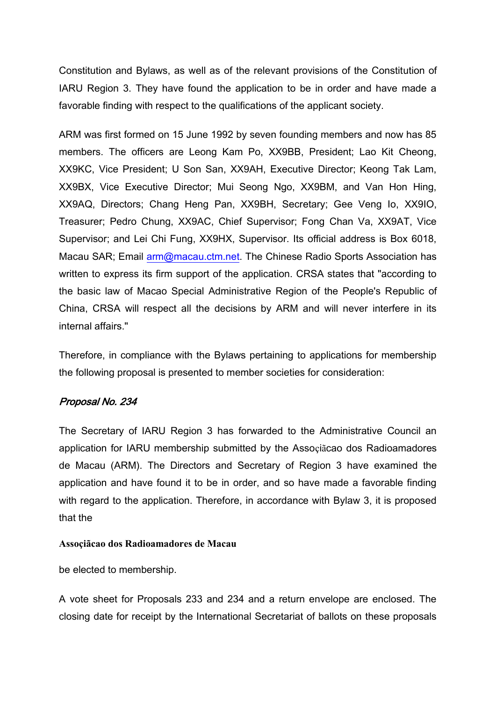Constitution and Bylaws, as well as of the relevant provisions of the Constitution of IARU Region 3. They have found the application to be in order and have made a favorable finding with respect to the qualifications of the applicant society.

ARM was first formed on 15 June 1992 by seven founding members and now has 85 members. The officers are Leong Kam Po, XX9BB, President; Lao Kit Cheong, XX9KC, Vice President; U Son San, XX9AH, Executive Director; Keong Tak Lam, XX9BX, Vice Executive Director; Mui Seong Ngo, XX9BM, and Van Hon Hing, XX9AQ, Directors; Chang Heng Pan, XX9BH, Secretary; Gee Veng Io, XX9IO, Treasurer; Pedro Chung, XX9AC, Chief Supervisor; Fong Chan Va, XX9AT, Vice Supervisor; and Lei Chi Fung, XX9HX, Supervisor. Its official address is Box 6018, Macau SAR; Email [arm@macau.ctm.net.](mailto:arm@macau.ctm.net) The Chinese Radio Sports Association has written to express its firm support of the application. CRSA states that "according to the basic law of Macao Special Administrative Region of the People's Republic of China, CRSA will respect all the decisions by ARM and will never interfere in its internal affairs."

Therefore, in compliance with the Bylaws pertaining to applications for membership the following proposal is presented to member societies for consideration:

# Proposal No. 234

The Secretary of IARU Region 3 has forwarded to the Administrative Council an application for IARU membership submitted by the Assoçiãcao dos Radioamadores de Macau (ARM). The Directors and Secretary of Region 3 have examined the application and have found it to be in order, and so have made a favorable finding with regard to the application. Therefore, in accordance with Bylaw 3, it is proposed that the

#### **Assoçiãcao dos Radioamadores de Macau**

be elected to membership.

A vote sheet for Proposals 233 and 234 and a return envelope are enclosed. The closing date for receipt by the International Secretariat of ballots on these proposals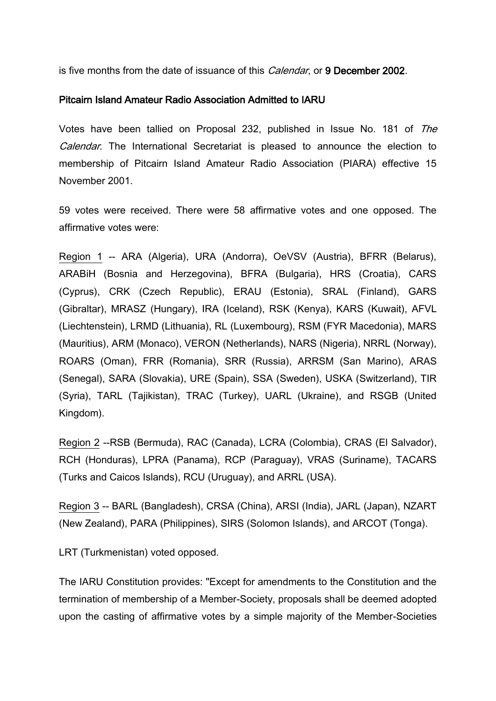is five months from the date of issuance of this *Calendar*, or 9 December 2002.

#### Pitcairn Island Amateur Radio Association Admitted to IARU

Votes have been tallied on Proposal 232, published in Issue No. 181 of The Calendar. The International Secretariat is pleased to announce the election to membership of Pitcairn Island Amateur Radio Association (PIARA) effective 15 November 2001.

59 votes were received. There were 58 affirmative votes and one opposed. The affirmative votes were:

Region 1 -- ARA (Algeria), URA (Andorra), OeVSV (Austria), BFRR (Belarus), ARABiH (Bosnia and Herzegovina), BFRA (Bulgaria), HRS (Croatia), CARS (Cyprus), CRK (Czech Republic), ERAU (Estonia), SRAL (Finland), GARS (Gibraltar), MRASZ (Hungary), IRA (Iceland), RSK (Kenya), KARS (Kuwait), AFVL (Liechtenstein), LRMD (Lithuania), RL (Luxembourg), RSM (FYR Macedonia), MARS (Mauritius), ARM (Monaco), VERON (Netherlands), NARS (Nigeria), NRRL (Norway), ROARS (Oman), FRR (Romania), SRR (Russia), ARRSM (San Marino), ARAS (Senegal), SARA (Slovakia), URE (Spain), SSA (Sweden), USKA (Switzerland), TIR (Syria), TARL (Tajikistan), TRAC (Turkey), UARL (Ukraine), and RSGB (United Kingdom).

Region 2 --RSB (Bermuda), RAC (Canada), LCRA (Colombia), CRAS (El Salvador), RCH (Honduras), LPRA (Panama), RCP (Paraguay), VRAS (Suriname), TACARS (Turks and Caicos Islands), RCU (Uruguay), and ARRL (USA).

Region 3 -- BARL (Bangladesh), CRSA (China), ARSI (India), JARL (Japan), NZART (New Zealand), PARA (Philippines), SIRS (Solomon Islands), and ARCOT (Tonga).

LRT (Turkmenistan) voted opposed.

The IARU Constitution provides: "Except for amendments to the Constitution and the termination of membership of a Member-Society, proposals shall be deemed adopted upon the casting of affirmative votes by a simple majority of the Member-Societies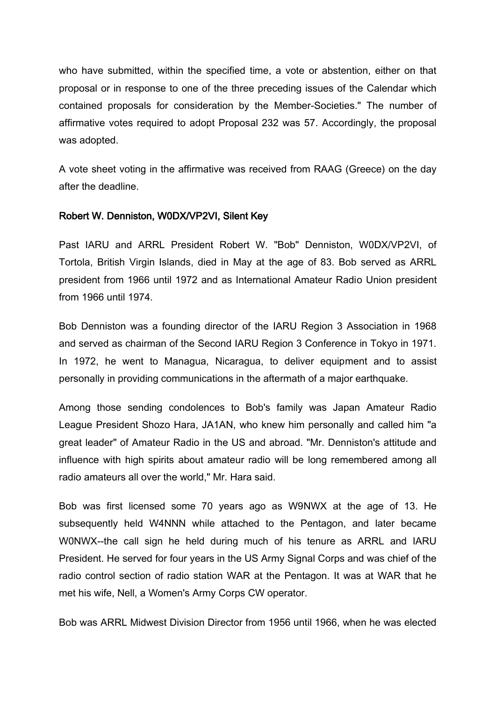who have submitted, within the specified time, a vote or abstention, either on that proposal or in response to one of the three preceding issues of the Calendar which contained proposals for consideration by the Member-Societies." The number of affirmative votes required to adopt Proposal 232 was 57. Accordingly, the proposal was adopted.

A vote sheet voting in the affirmative was received from RAAG (Greece) on the day after the deadline.

## Robert W. Denniston, W0DX/VP2VI, Silent Key

Past IARU and ARRL President Robert W. "Bob" Denniston, W0DX/VP2VI, of Tortola, British Virgin Islands, died in May at the age of 83. Bob served as ARRL president from 1966 until 1972 and as International Amateur Radio Union president from 1966 until 1974.

Bob Denniston was a founding director of the IARU Region 3 Association in 1968 and served as chairman of the Second IARU Region 3 Conference in Tokyo in 1971. In 1972, he went to Managua, Nicaragua, to deliver equipment and to assist personally in providing communications in the aftermath of a major earthquake.

Among those sending condolences to Bob's family was Japan Amateur Radio League President Shozo Hara, JA1AN, who knew him personally and called him "a great leader" of Amateur Radio in the US and abroad. "Mr. Denniston's attitude and influence with high spirits about amateur radio will be long remembered among all radio amateurs all over the world," Mr. Hara said.

Bob was first licensed some 70 years ago as W9NWX at the age of 13. He subsequently held W4NNN while attached to the Pentagon, and later became W0NWX--the call sign he held during much of his tenure as ARRL and IARU President. He served for four years in the US Army Signal Corps and was chief of the radio control section of radio station WAR at the Pentagon. It was at WAR that he met his wife, Nell, a Women's Army Corps CW operator.

Bob was ARRL Midwest Division Director from 1956 until 1966, when he was elected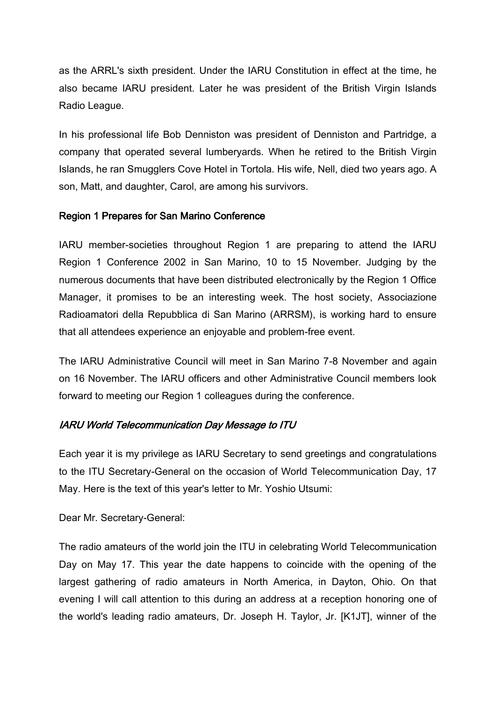as the ARRL's sixth president. Under the IARU Constitution in effect at the time, he also became IARU president. Later he was president of the British Virgin Islands Radio League.

In his professional life Bob Denniston was president of Denniston and Partridge, a company that operated several lumberyards. When he retired to the British Virgin Islands, he ran Smugglers Cove Hotel in Tortola. His wife, Nell, died two years ago. A son, Matt, and daughter, Carol, are among his survivors.

## Region 1 Prepares for San Marino Conference

IARU member-societies throughout Region 1 are preparing to attend the IARU Region 1 Conference 2002 in San Marino, 10 to 15 November. Judging by the numerous documents that have been distributed electronically by the Region 1 Office Manager, it promises to be an interesting week. The host society, Associazione Radioamatori della Repubblica di San Marino (ARRSM), is working hard to ensure that all attendees experience an enjoyable and problem-free event.

The IARU Administrative Council will meet in San Marino 7-8 November and again on 16 November. The IARU officers and other Administrative Council members look forward to meeting our Region 1 colleagues during the conference.

# IARU World Telecommunication Day Message to ITU

Each year it is my privilege as IARU Secretary to send greetings and congratulations to the ITU Secretary-General on the occasion of World Telecommunication Day, 17 May. Here is the text of this year's letter to Mr. Yoshio Utsumi:

Dear Mr. Secretary-General:

The radio amateurs of the world join the ITU in celebrating World Telecommunication Day on May 17. This year the date happens to coincide with the opening of the largest gathering of radio amateurs in North America, in Dayton, Ohio. On that evening I will call attention to this during an address at a reception honoring one of the world's leading radio amateurs, Dr. Joseph H. Taylor, Jr. [K1JT], winner of the